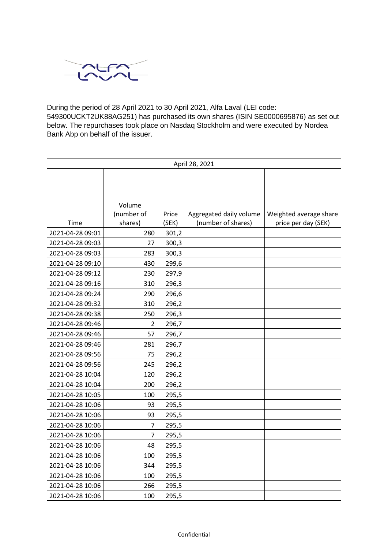

During the period of 28 April 2021 to 30 April 2021, Alfa Laval (LEI code: 549300UCKT2UK88AG251) has purchased its own shares (ISIN SE0000695876) as set out below. The repurchases took place on Nasdaq Stockholm and were executed by Nordea Bank Abp on behalf of the issuer.

| April 28, 2021   |                |       |                         |                        |  |
|------------------|----------------|-------|-------------------------|------------------------|--|
|                  |                |       |                         |                        |  |
|                  |                |       |                         |                        |  |
|                  |                |       |                         |                        |  |
|                  | Volume         |       |                         |                        |  |
|                  | (number of     | Price | Aggregated daily volume | Weighted average share |  |
| Time             | shares)        | (SEK) | (number of shares)      | price per day (SEK)    |  |
| 2021-04-28 09:01 | 280            | 301,2 |                         |                        |  |
| 2021-04-28 09:03 | 27             | 300,3 |                         |                        |  |
| 2021-04-28 09:03 | 283            | 300,3 |                         |                        |  |
| 2021-04-28 09:10 | 430            | 299,6 |                         |                        |  |
| 2021-04-28 09:12 | 230            | 297,9 |                         |                        |  |
| 2021-04-28 09:16 | 310            | 296,3 |                         |                        |  |
| 2021-04-28 09:24 | 290            | 296,6 |                         |                        |  |
| 2021-04-28 09:32 | 310            | 296,2 |                         |                        |  |
| 2021-04-28 09:38 | 250            | 296,3 |                         |                        |  |
| 2021-04-28 09:46 | 2              | 296,7 |                         |                        |  |
| 2021-04-28 09:46 | 57             | 296,7 |                         |                        |  |
| 2021-04-28 09:46 | 281            | 296,7 |                         |                        |  |
| 2021-04-28 09:56 | 75             | 296,2 |                         |                        |  |
| 2021-04-28 09:56 | 245            | 296,2 |                         |                        |  |
| 2021-04-28 10:04 | 120            | 296,2 |                         |                        |  |
| 2021-04-28 10:04 | 200            | 296,2 |                         |                        |  |
| 2021-04-28 10:05 | 100            | 295,5 |                         |                        |  |
| 2021-04-28 10:06 | 93             | 295,5 |                         |                        |  |
| 2021-04-28 10:06 | 93             | 295,5 |                         |                        |  |
| 2021-04-28 10:06 | 7              | 295,5 |                         |                        |  |
| 2021-04-28 10:06 | $\overline{7}$ | 295,5 |                         |                        |  |
| 2021-04-28 10:06 | 48             | 295,5 |                         |                        |  |
| 2021-04-28 10:06 | 100            | 295,5 |                         |                        |  |
| 2021-04-28 10:06 | 344            | 295,5 |                         |                        |  |
| 2021-04-28 10:06 | 100            | 295,5 |                         |                        |  |
| 2021-04-28 10:06 | 266            | 295,5 |                         |                        |  |
| 2021-04-28 10:06 | 100            | 295,5 |                         |                        |  |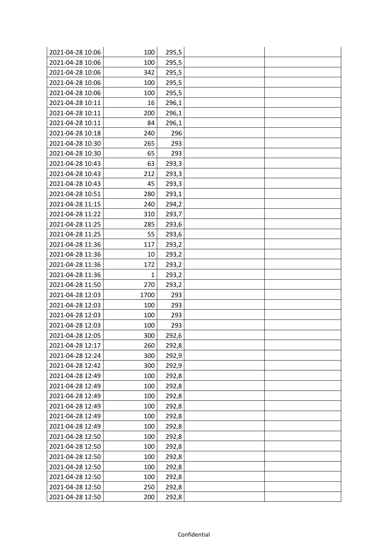| 2021-04-28 10:06 | 100  | 295,5 |  |
|------------------|------|-------|--|
| 2021-04-28 10:06 | 100  | 295,5 |  |
| 2021-04-28 10:06 | 342  | 295,5 |  |
| 2021-04-28 10:06 | 100  | 295,5 |  |
| 2021-04-28 10:06 | 100  | 295,5 |  |
| 2021-04-28 10:11 | 16   | 296,1 |  |
| 2021-04-28 10:11 | 200  | 296,1 |  |
| 2021-04-28 10:11 | 84   | 296,1 |  |
| 2021-04-28 10:18 | 240  | 296   |  |
| 2021-04-28 10:30 | 265  | 293   |  |
| 2021-04-28 10:30 | 65   | 293   |  |
| 2021-04-28 10:43 | 63   | 293,3 |  |
| 2021-04-28 10:43 | 212  | 293,3 |  |
| 2021-04-28 10:43 | 45   | 293,3 |  |
| 2021-04-28 10:51 | 280  | 293,1 |  |
| 2021-04-28 11:15 | 240  | 294,2 |  |
| 2021-04-28 11:22 | 310  | 293,7 |  |
| 2021-04-28 11:25 | 285  | 293,6 |  |
| 2021-04-28 11:25 | 55   | 293,6 |  |
| 2021-04-28 11:36 | 117  | 293,2 |  |
| 2021-04-28 11:36 | 10   | 293,2 |  |
| 2021-04-28 11:36 | 172  | 293,2 |  |
| 2021-04-28 11:36 | 1    | 293,2 |  |
| 2021-04-28 11:50 | 270  | 293,2 |  |
| 2021-04-28 12:03 | 1700 | 293   |  |
| 2021-04-28 12:03 | 100  | 293   |  |
| 2021-04-28 12:03 | 100  | 293   |  |
| 2021-04-28 12:03 | 100  | 293   |  |
| 2021-04-28 12:05 | 300  | 292,6 |  |
| 2021-04-28 12:17 | 260  | 292,8 |  |
| 2021-04-28 12:24 | 300  | 292,9 |  |
| 2021-04-28 12:42 | 300  | 292,9 |  |
| 2021-04-28 12:49 | 100  | 292,8 |  |
| 2021-04-28 12:49 | 100  | 292,8 |  |
| 2021-04-28 12:49 | 100  | 292,8 |  |
| 2021-04-28 12:49 | 100  | 292,8 |  |
| 2021-04-28 12:49 | 100  | 292,8 |  |
| 2021-04-28 12:49 | 100  | 292,8 |  |
| 2021-04-28 12:50 | 100  | 292,8 |  |
| 2021-04-28 12:50 | 100  | 292,8 |  |
| 2021-04-28 12:50 | 100  | 292,8 |  |
| 2021-04-28 12:50 | 100  | 292,8 |  |
| 2021-04-28 12:50 | 100  | 292,8 |  |
| 2021-04-28 12:50 | 250  | 292,8 |  |
| 2021-04-28 12:50 | 200  | 292,8 |  |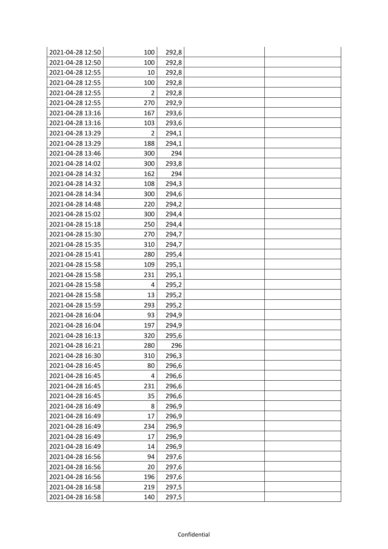| 2021-04-28 12:50 | 100            | 292,8 |  |
|------------------|----------------|-------|--|
| 2021-04-28 12:50 | 100            | 292,8 |  |
| 2021-04-28 12:55 | 10             | 292,8 |  |
| 2021-04-28 12:55 | 100            | 292,8 |  |
| 2021-04-28 12:55 | $\overline{2}$ | 292,8 |  |
| 2021-04-28 12:55 | 270            | 292,9 |  |
| 2021-04-28 13:16 | 167            | 293,6 |  |
| 2021-04-28 13:16 | 103            | 293,6 |  |
| 2021-04-28 13:29 | $\overline{2}$ | 294,1 |  |
| 2021-04-28 13:29 | 188            | 294,1 |  |
| 2021-04-28 13:46 | 300            | 294   |  |
| 2021-04-28 14:02 | 300            | 293,8 |  |
| 2021-04-28 14:32 | 162            | 294   |  |
| 2021-04-28 14:32 | 108            | 294,3 |  |
| 2021-04-28 14:34 | 300            | 294,6 |  |
| 2021-04-28 14:48 | 220            | 294,2 |  |
| 2021-04-28 15:02 | 300            | 294,4 |  |
| 2021-04-28 15:18 | 250            | 294,4 |  |
| 2021-04-28 15:30 | 270            | 294,7 |  |
| 2021-04-28 15:35 | 310            | 294,7 |  |
| 2021-04-28 15:41 | 280            | 295,4 |  |
| 2021-04-28 15:58 | 109            | 295,1 |  |
| 2021-04-28 15:58 | 231            | 295,1 |  |
| 2021-04-28 15:58 | 4              | 295,2 |  |
| 2021-04-28 15:58 | 13             | 295,2 |  |
| 2021-04-28 15:59 | 293            | 295,2 |  |
| 2021-04-28 16:04 | 93             | 294,9 |  |
| 2021-04-28 16:04 | 197            | 294,9 |  |
| 2021-04-28 16:13 | 320            | 295,6 |  |
| 2021-04-28 16:21 | 280            | 296   |  |
| 2021-04-28 16:30 | 310            | 296,3 |  |
| 2021-04-28 16:45 | 80             | 296,6 |  |
| 2021-04-28 16:45 | 4              | 296,6 |  |
| 2021-04-28 16:45 | 231            | 296,6 |  |
| 2021-04-28 16:45 | 35             | 296,6 |  |
| 2021-04-28 16:49 | 8              | 296,9 |  |
| 2021-04-28 16:49 | 17             | 296,9 |  |
| 2021-04-28 16:49 | 234            | 296,9 |  |
| 2021-04-28 16:49 | 17             | 296,9 |  |
| 2021-04-28 16:49 | 14             | 296,9 |  |
| 2021-04-28 16:56 | 94             | 297,6 |  |
| 2021-04-28 16:56 | 20             | 297,6 |  |
| 2021-04-28 16:56 | 196            | 297,6 |  |
| 2021-04-28 16:58 | 219            | 297,5 |  |
| 2021-04-28 16:58 | 140            | 297,5 |  |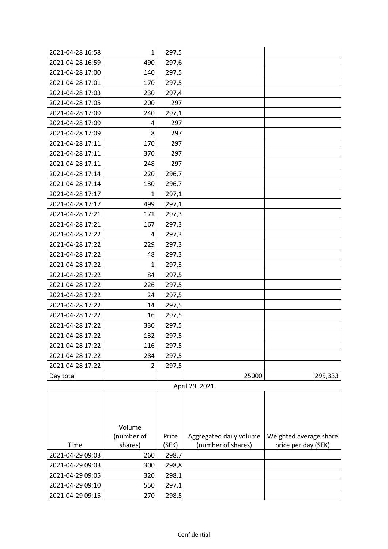| 2021-04-28 16:58 | $\mathbf{1}$   | 297,5 |                         |                        |
|------------------|----------------|-------|-------------------------|------------------------|
| 2021-04-28 16:59 | 490            | 297,6 |                         |                        |
| 2021-04-28 17:00 | 140            | 297,5 |                         |                        |
| 2021-04-28 17:01 | 170            | 297,5 |                         |                        |
| 2021-04-28 17:03 | 230            | 297,4 |                         |                        |
| 2021-04-28 17:05 | 200            | 297   |                         |                        |
| 2021-04-28 17:09 | 240            | 297,1 |                         |                        |
| 2021-04-28 17:09 | 4              | 297   |                         |                        |
| 2021-04-28 17:09 | 8              | 297   |                         |                        |
| 2021-04-28 17:11 | 170            | 297   |                         |                        |
| 2021-04-28 17:11 | 370            | 297   |                         |                        |
| 2021-04-28 17:11 | 248            | 297   |                         |                        |
| 2021-04-28 17:14 | 220            | 296,7 |                         |                        |
| 2021-04-28 17:14 | 130            | 296,7 |                         |                        |
| 2021-04-28 17:17 | $\mathbf{1}$   | 297,1 |                         |                        |
| 2021-04-28 17:17 | 499            | 297,1 |                         |                        |
| 2021-04-28 17:21 | 171            | 297,3 |                         |                        |
| 2021-04-28 17:21 | 167            | 297,3 |                         |                        |
| 2021-04-28 17:22 | 4              | 297,3 |                         |                        |
| 2021-04-28 17:22 | 229            | 297,3 |                         |                        |
| 2021-04-28 17:22 | 48             | 297,3 |                         |                        |
| 2021-04-28 17:22 | $\mathbf{1}$   | 297,3 |                         |                        |
| 2021-04-28 17:22 | 84             | 297,5 |                         |                        |
| 2021-04-28 17:22 | 226            | 297,5 |                         |                        |
| 2021-04-28 17:22 | 24             | 297,5 |                         |                        |
| 2021-04-28 17:22 | 14             | 297,5 |                         |                        |
| 2021-04-28 17:22 | 16             | 297,5 |                         |                        |
| 2021-04-28 17:22 | 330            | 297,5 |                         |                        |
| 2021-04-28 17:22 | 132            | 297,5 |                         |                        |
| 2021-04-28 17:22 | 116            | 297,5 |                         |                        |
| 2021-04-28 17:22 | 284            | 297,5 |                         |                        |
| 2021-04-28 17:22 | $\overline{2}$ | 297,5 |                         |                        |
| Day total        |                |       | 25000                   | 295,333                |
|                  |                |       | April 29, 2021          |                        |
|                  |                |       |                         |                        |
|                  |                |       |                         |                        |
|                  |                |       |                         |                        |
|                  | Volume         |       |                         |                        |
|                  | (number of     | Price | Aggregated daily volume | Weighted average share |
| Time             | shares)        | (SEK) | (number of shares)      | price per day (SEK)    |
| 2021-04-29 09:03 | 260            | 298,7 |                         |                        |
| 2021-04-29 09:03 | 300            | 298,8 |                         |                        |
| 2021-04-29 09:05 | 320            | 298,1 |                         |                        |
| 2021-04-29 09:10 | 550            | 297,1 |                         |                        |
| 2021-04-29 09:15 | 270            | 298,5 |                         |                        |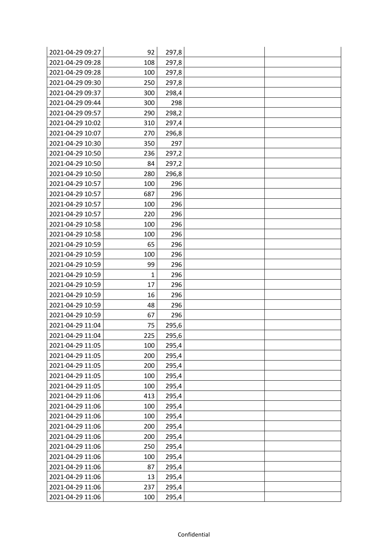| 2021-04-29 09:27 | 92  | 297,8 |  |
|------------------|-----|-------|--|
| 2021-04-29 09:28 | 108 | 297,8 |  |
| 2021-04-29 09:28 | 100 | 297,8 |  |
| 2021-04-29 09:30 | 250 | 297,8 |  |
| 2021-04-29 09:37 | 300 | 298,4 |  |
| 2021-04-29 09:44 | 300 | 298   |  |
| 2021-04-29 09:57 | 290 | 298,2 |  |
| 2021-04-29 10:02 | 310 | 297,4 |  |
| 2021-04-29 10:07 | 270 | 296,8 |  |
| 2021-04-29 10:30 | 350 | 297   |  |
| 2021-04-29 10:50 | 236 | 297,2 |  |
| 2021-04-29 10:50 | 84  | 297,2 |  |
| 2021-04-29 10:50 | 280 | 296,8 |  |
| 2021-04-29 10:57 | 100 | 296   |  |
| 2021-04-29 10:57 | 687 | 296   |  |
| 2021-04-29 10:57 | 100 | 296   |  |
| 2021-04-29 10:57 | 220 | 296   |  |
| 2021-04-29 10:58 | 100 | 296   |  |
| 2021-04-29 10:58 | 100 | 296   |  |
| 2021-04-29 10:59 | 65  | 296   |  |
| 2021-04-29 10:59 | 100 | 296   |  |
| 2021-04-29 10:59 | 99  | 296   |  |
| 2021-04-29 10:59 | 1   | 296   |  |
| 2021-04-29 10:59 | 17  | 296   |  |
| 2021-04-29 10:59 | 16  | 296   |  |
| 2021-04-29 10:59 | 48  | 296   |  |
| 2021-04-29 10:59 | 67  | 296   |  |
| 2021-04-29 11:04 | 75  | 295,6 |  |
| 2021-04-29 11:04 | 225 | 295,6 |  |
| 2021-04-29 11:05 | 100 | 295,4 |  |
| 2021-04-29 11:05 | 200 | 295,4 |  |
| 2021-04-29 11:05 | 200 | 295,4 |  |
| 2021-04-29 11:05 | 100 | 295,4 |  |
| 2021-04-29 11:05 | 100 | 295,4 |  |
| 2021-04-29 11:06 | 413 | 295,4 |  |
| 2021-04-29 11:06 | 100 | 295,4 |  |
| 2021-04-29 11:06 | 100 | 295,4 |  |
| 2021-04-29 11:06 | 200 | 295,4 |  |
| 2021-04-29 11:06 | 200 | 295,4 |  |
| 2021-04-29 11:06 | 250 | 295,4 |  |
| 2021-04-29 11:06 | 100 | 295,4 |  |
| 2021-04-29 11:06 | 87  | 295,4 |  |
| 2021-04-29 11:06 | 13  | 295,4 |  |
| 2021-04-29 11:06 | 237 | 295,4 |  |
| 2021-04-29 11:06 | 100 | 295,4 |  |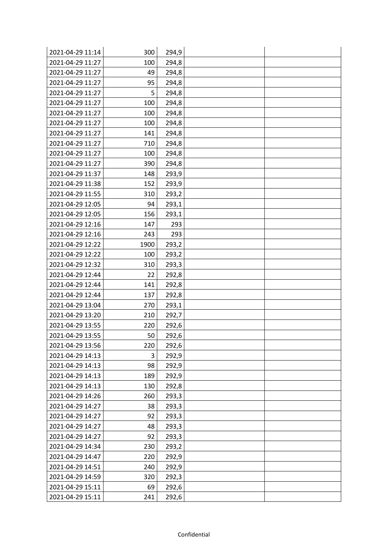| 2021-04-29 11:14 | 300  | 294,9 |  |
|------------------|------|-------|--|
| 2021-04-29 11:27 | 100  | 294,8 |  |
| 2021-04-29 11:27 | 49   | 294,8 |  |
| 2021-04-29 11:27 | 95   | 294,8 |  |
| 2021-04-29 11:27 | 5    | 294,8 |  |
| 2021-04-29 11:27 | 100  | 294,8 |  |
| 2021-04-29 11:27 | 100  | 294,8 |  |
| 2021-04-29 11:27 | 100  | 294,8 |  |
| 2021-04-29 11:27 | 141  | 294,8 |  |
| 2021-04-29 11:27 | 710  | 294,8 |  |
| 2021-04-29 11:27 | 100  | 294,8 |  |
| 2021-04-29 11:27 | 390  | 294,8 |  |
| 2021-04-29 11:37 | 148  | 293,9 |  |
| 2021-04-29 11:38 | 152  | 293,9 |  |
| 2021-04-29 11:55 | 310  | 293,2 |  |
| 2021-04-29 12:05 | 94   | 293,1 |  |
| 2021-04-29 12:05 | 156  | 293,1 |  |
| 2021-04-29 12:16 | 147  | 293   |  |
| 2021-04-29 12:16 | 243  | 293   |  |
| 2021-04-29 12:22 | 1900 | 293,2 |  |
| 2021-04-29 12:22 | 100  | 293,2 |  |
| 2021-04-29 12:32 | 310  | 293,3 |  |
| 2021-04-29 12:44 | 22   | 292,8 |  |
| 2021-04-29 12:44 | 141  | 292,8 |  |
| 2021-04-29 12:44 | 137  | 292,8 |  |
| 2021-04-29 13:04 | 270  | 293,1 |  |
| 2021-04-29 13:20 | 210  | 292,7 |  |
| 2021-04-29 13:55 | 220  | 292,6 |  |
| 2021-04-29 13:55 | 50   | 292,6 |  |
| 2021-04-29 13:56 | 220  | 292,6 |  |
| 2021-04-29 14:13 | 3    | 292,9 |  |
| 2021-04-29 14:13 | 98   | 292,9 |  |
| 2021-04-29 14:13 | 189  | 292,9 |  |
| 2021-04-29 14:13 | 130  | 292,8 |  |
| 2021-04-29 14:26 | 260  | 293,3 |  |
| 2021-04-29 14:27 | 38   | 293,3 |  |
| 2021-04-29 14:27 | 92   | 293,3 |  |
| 2021-04-29 14:27 | 48   | 293,3 |  |
| 2021-04-29 14:27 | 92   | 293,3 |  |
| 2021-04-29 14:34 | 230  | 293,2 |  |
| 2021-04-29 14:47 | 220  | 292,9 |  |
| 2021-04-29 14:51 | 240  | 292,9 |  |
| 2021-04-29 14:59 | 320  | 292,3 |  |
| 2021-04-29 15:11 | 69   | 292,6 |  |
| 2021-04-29 15:11 | 241  | 292,6 |  |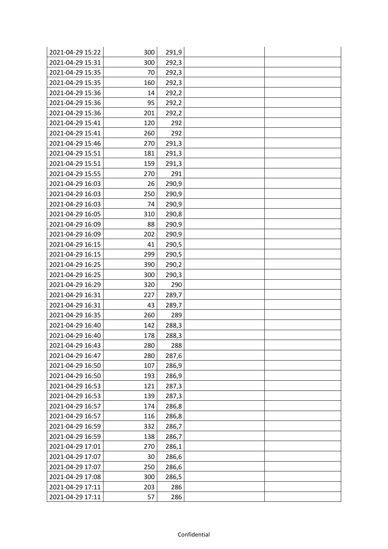| 2021-04-29 15:22 | 300 | 291,9 |  |
|------------------|-----|-------|--|
| 2021-04-29 15:31 | 300 | 292,3 |  |
| 2021-04-29 15:35 | 70  | 292,3 |  |
| 2021-04-29 15:35 | 160 | 292,3 |  |
| 2021-04-29 15:36 | 14  | 292,2 |  |
| 2021-04-29 15:36 | 95  | 292,2 |  |
| 2021-04-29 15:36 | 201 | 292,2 |  |
| 2021-04-29 15:41 | 120 | 292   |  |
| 2021-04-29 15:41 | 260 | 292   |  |
| 2021-04-29 15:46 | 270 | 291,3 |  |
| 2021-04-29 15:51 | 181 | 291,3 |  |
| 2021-04-29 15:51 | 159 | 291,3 |  |
| 2021-04-29 15:55 | 270 | 291   |  |
| 2021-04-29 16:03 | 26  | 290,9 |  |
| 2021-04-29 16:03 | 250 | 290,9 |  |
| 2021-04-29 16:03 | 74  | 290,9 |  |
| 2021-04-29 16:05 | 310 | 290,8 |  |
| 2021-04-29 16:09 | 88  | 290,9 |  |
| 2021-04-29 16:09 | 202 | 290,9 |  |
| 2021-04-29 16:15 | 41  | 290,5 |  |
| 2021-04-29 16:15 | 299 | 290,5 |  |
| 2021-04-29 16:25 | 390 | 290,2 |  |
| 2021-04-29 16:25 | 300 | 290,3 |  |
| 2021-04-29 16:29 | 320 | 290   |  |
| 2021-04-29 16:31 | 227 | 289,7 |  |
| 2021-04-29 16:31 | 43  | 289,7 |  |
| 2021-04-29 16:35 | 260 | 289   |  |
| 2021-04-29 16:40 | 142 | 288,3 |  |
| 2021-04-29 16:40 | 178 | 288,3 |  |
| 2021-04-29 16:43 | 280 | 288   |  |
| 2021-04-29 16:47 | 280 | 287,6 |  |
| 2021-04-29 16:50 | 107 | 286,9 |  |
| 2021-04-29 16:50 | 193 | 286,9 |  |
| 2021-04-29 16:53 | 121 | 287,3 |  |
| 2021-04-29 16:53 | 139 | 287,3 |  |
| 2021-04-29 16:57 | 174 | 286,8 |  |
| 2021-04-29 16:57 | 116 | 286,8 |  |
| 2021-04-29 16:59 | 332 | 286,7 |  |
| 2021-04-29 16:59 | 138 | 286,7 |  |
| 2021-04-29 17:01 | 270 | 286,1 |  |
| 2021-04-29 17:07 | 30  | 286,6 |  |
| 2021-04-29 17:07 | 250 | 286,6 |  |
| 2021-04-29 17:08 | 300 | 286,5 |  |
| 2021-04-29 17:11 | 203 | 286   |  |
| 2021-04-29 17:11 | 57  | 286   |  |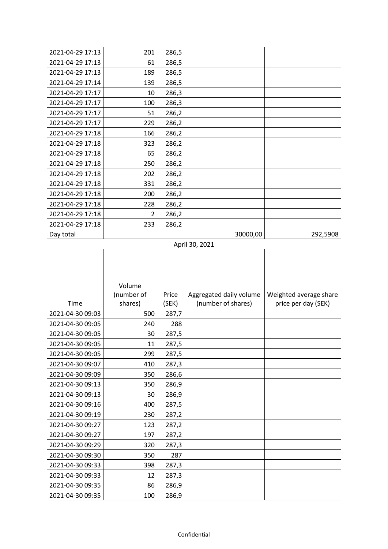| 2021-04-29 17:13                     | 201            | 286,5          |                         |                        |
|--------------------------------------|----------------|----------------|-------------------------|------------------------|
| 2021-04-29 17:13                     | 61             | 286,5          |                         |                        |
| 2021-04-29 17:13                     | 189            | 286,5          |                         |                        |
| 2021-04-29 17:14                     | 139            | 286,5          |                         |                        |
| 2021-04-29 17:17                     | 10             | 286,3          |                         |                        |
| 2021-04-29 17:17                     | 100            | 286,3          |                         |                        |
| 2021-04-29 17:17                     | 51             | 286,2          |                         |                        |
| 2021-04-29 17:17                     | 229            | 286,2          |                         |                        |
| 2021-04-29 17:18                     | 166            | 286,2          |                         |                        |
| 2021-04-29 17:18                     | 323            | 286,2          |                         |                        |
| 2021-04-29 17:18                     | 65             | 286,2          |                         |                        |
| 2021-04-29 17:18                     | 250            | 286,2          |                         |                        |
| 2021-04-29 17:18                     | 202            | 286,2          |                         |                        |
| 2021-04-29 17:18                     | 331            | 286,2          |                         |                        |
| 2021-04-29 17:18                     | 200            | 286,2          |                         |                        |
| 2021-04-29 17:18                     | 228            | 286,2          |                         |                        |
| 2021-04-29 17:18                     | $\overline{2}$ | 286,2          |                         |                        |
| 2021-04-29 17:18                     | 233            | 286,2          |                         |                        |
| Day total                            |                |                | 30000,00                | 292,5908               |
|                                      |                |                | April 30, 2021          |                        |
|                                      |                |                |                         |                        |
|                                      | Volume         |                |                         |                        |
|                                      | (number of     | Price          | Aggregated daily volume | Weighted average share |
| Time                                 | shares)        | (SEK)          | (number of shares)      | price per day (SEK)    |
| 2021-04-30 09:03                     | 500            | 287,7          |                         |                        |
| 2021-04-30 09:05                     | 240            | 288            |                         |                        |
| 2021-04-30 09:05                     | 30             | 287,5          |                         |                        |
| 2021-04-30 09:05                     | 11             | 287,5          |                         |                        |
| 2021-04-30 09:05                     | 299            | 287,5          |                         |                        |
| 2021-04-30 09:07<br>2021-04-30 09:09 | 410<br>350     | 287,3          |                         |                        |
| 2021-04-30 09:13                     | 350            | 286,6<br>286,9 |                         |                        |
| 2021-04-30 09:13                     | 30             | 286,9          |                         |                        |
| 2021-04-30 09:16                     | 400            | 287,5          |                         |                        |
| 2021-04-30 09:19                     | 230            | 287,2          |                         |                        |
| 2021-04-30 09:27                     | 123            |                |                         |                        |
| 2021-04-30 09:27                     | 197            | 287,2<br>287,2 |                         |                        |
| 2021-04-30 09:29                     | 320            | 287,3          |                         |                        |
| 2021-04-30 09:30                     | 350            | 287            |                         |                        |
| 2021-04-30 09:33                     | 398            | 287,3          |                         |                        |
| 2021-04-30 09:33                     | 12             | 287,3          |                         |                        |
| 2021-04-30 09:35                     | 86             | 286,9          |                         |                        |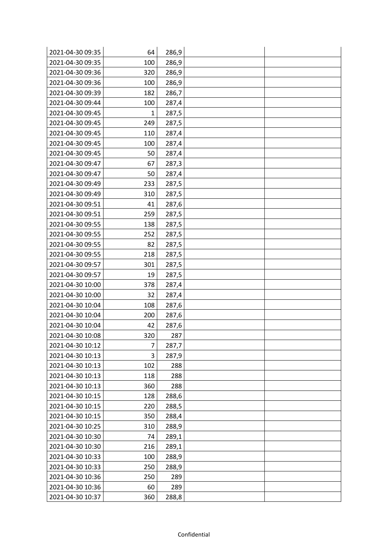| 2021-04-30 09:35 | 64  | 286,9 |  |
|------------------|-----|-------|--|
| 2021-04-30 09:35 | 100 | 286,9 |  |
| 2021-04-30 09:36 | 320 | 286,9 |  |
| 2021-04-30 09:36 | 100 | 286,9 |  |
| 2021-04-30 09:39 | 182 | 286,7 |  |
| 2021-04-30 09:44 | 100 | 287,4 |  |
| 2021-04-30 09:45 | 1   | 287,5 |  |
| 2021-04-30 09:45 | 249 | 287,5 |  |
| 2021-04-30 09:45 | 110 | 287,4 |  |
| 2021-04-30 09:45 | 100 | 287,4 |  |
| 2021-04-30 09:45 | 50  | 287,4 |  |
| 2021-04-30 09:47 | 67  | 287,3 |  |
| 2021-04-30 09:47 | 50  | 287,4 |  |
| 2021-04-30 09:49 | 233 | 287,5 |  |
| 2021-04-30 09:49 | 310 | 287,5 |  |
| 2021-04-30 09:51 | 41  | 287,6 |  |
| 2021-04-30 09:51 | 259 | 287,5 |  |
| 2021-04-30 09:55 | 138 | 287,5 |  |
| 2021-04-30 09:55 | 252 | 287,5 |  |
| 2021-04-30 09:55 | 82  | 287,5 |  |
| 2021-04-30 09:55 | 218 | 287,5 |  |
| 2021-04-30 09:57 | 301 | 287,5 |  |
| 2021-04-30 09:57 | 19  | 287,5 |  |
| 2021-04-30 10:00 | 378 | 287,4 |  |
| 2021-04-30 10:00 | 32  | 287,4 |  |
| 2021-04-30 10:04 | 108 | 287,6 |  |
| 2021-04-30 10:04 | 200 | 287,6 |  |
| 2021-04-30 10:04 | 42  | 287,6 |  |
| 2021-04-30 10:08 | 320 | 287   |  |
| 2021-04-30 10:12 | 7   | 287,7 |  |
| 2021-04-30 10:13 | 3   | 287,9 |  |
| 2021-04-30 10:13 | 102 | 288   |  |
| 2021-04-30 10:13 | 118 | 288   |  |
| 2021-04-30 10:13 | 360 | 288   |  |
| 2021-04-30 10:15 | 128 | 288,6 |  |
| 2021-04-30 10:15 | 220 | 288,5 |  |
| 2021-04-30 10:15 | 350 | 288,4 |  |
| 2021-04-30 10:25 | 310 | 288,9 |  |
| 2021-04-30 10:30 | 74  | 289,1 |  |
| 2021-04-30 10:30 | 216 | 289,1 |  |
| 2021-04-30 10:33 | 100 | 288,9 |  |
| 2021-04-30 10:33 | 250 | 288,9 |  |
| 2021-04-30 10:36 | 250 | 289   |  |
| 2021-04-30 10:36 | 60  | 289   |  |
| 2021-04-30 10:37 | 360 | 288,8 |  |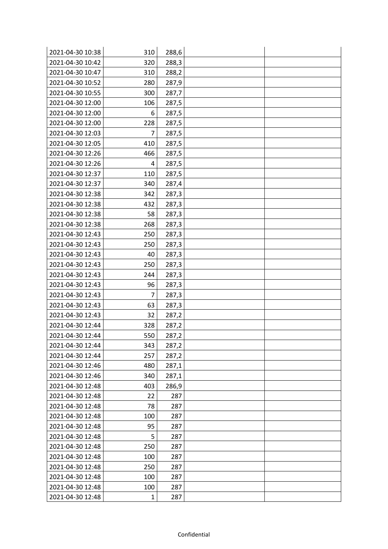| 2021-04-30 10:38 | 310          | 288,6 |  |
|------------------|--------------|-------|--|
| 2021-04-30 10:42 | 320          | 288,3 |  |
| 2021-04-30 10:47 | 310          | 288,2 |  |
| 2021-04-30 10:52 | 280          | 287,9 |  |
| 2021-04-30 10:55 | 300          | 287,7 |  |
| 2021-04-30 12:00 | 106          | 287,5 |  |
| 2021-04-30 12:00 | 6            | 287,5 |  |
| 2021-04-30 12:00 | 228          | 287,5 |  |
| 2021-04-30 12:03 | 7            | 287,5 |  |
| 2021-04-30 12:05 | 410          | 287,5 |  |
| 2021-04-30 12:26 | 466          | 287,5 |  |
| 2021-04-30 12:26 | 4            | 287,5 |  |
| 2021-04-30 12:37 | 110          | 287,5 |  |
| 2021-04-30 12:37 | 340          | 287,4 |  |
| 2021-04-30 12:38 | 342          | 287,3 |  |
| 2021-04-30 12:38 | 432          | 287,3 |  |
| 2021-04-30 12:38 | 58           | 287,3 |  |
| 2021-04-30 12:38 | 268          | 287,3 |  |
| 2021-04-30 12:43 | 250          | 287,3 |  |
| 2021-04-30 12:43 | 250          | 287,3 |  |
| 2021-04-30 12:43 | 40           | 287,3 |  |
| 2021-04-30 12:43 | 250          | 287,3 |  |
| 2021-04-30 12:43 | 244          | 287,3 |  |
| 2021-04-30 12:43 | 96           | 287,3 |  |
| 2021-04-30 12:43 | 7            | 287,3 |  |
| 2021-04-30 12:43 | 63           | 287,3 |  |
| 2021-04-30 12:43 | 32           | 287,2 |  |
| 2021-04-30 12:44 | 328          | 287,2 |  |
| 2021-04-30 12:44 | 550          | 287,2 |  |
| 2021-04-30 12:44 | 343          | 287,2 |  |
| 2021-04-30 12:44 | 257          | 287,2 |  |
| 2021-04-30 12:46 | 480          | 287,1 |  |
| 2021-04-30 12:46 | 340          | 287,1 |  |
| 2021-04-30 12:48 | 403          | 286,9 |  |
| 2021-04-30 12:48 | 22           | 287   |  |
| 2021-04-30 12:48 | 78           | 287   |  |
| 2021-04-30 12:48 | 100          | 287   |  |
| 2021-04-30 12:48 | 95           | 287   |  |
| 2021-04-30 12:48 | 5            | 287   |  |
| 2021-04-30 12:48 | 250          | 287   |  |
| 2021-04-30 12:48 | 100          | 287   |  |
| 2021-04-30 12:48 | 250          | 287   |  |
| 2021-04-30 12:48 | 100          | 287   |  |
| 2021-04-30 12:48 | 100          | 287   |  |
| 2021-04-30 12:48 | $\mathbf{1}$ | 287   |  |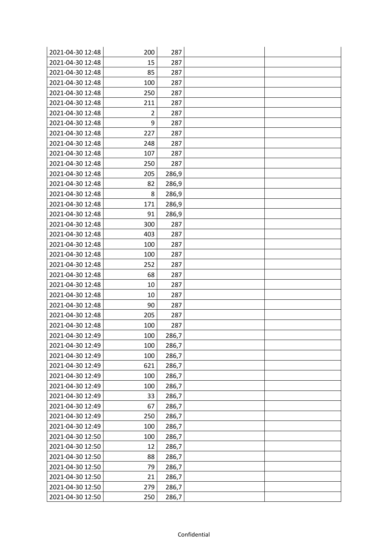| 2021-04-30 12:48 | 200            | 287   |  |
|------------------|----------------|-------|--|
| 2021-04-30 12:48 | 15             | 287   |  |
| 2021-04-30 12:48 | 85             | 287   |  |
| 2021-04-30 12:48 | 100            | 287   |  |
| 2021-04-30 12:48 | 250            | 287   |  |
| 2021-04-30 12:48 | 211            | 287   |  |
| 2021-04-30 12:48 | $\overline{2}$ | 287   |  |
| 2021-04-30 12:48 | 9              | 287   |  |
| 2021-04-30 12:48 | 227            | 287   |  |
| 2021-04-30 12:48 | 248            | 287   |  |
| 2021-04-30 12:48 | 107            | 287   |  |
| 2021-04-30 12:48 | 250            | 287   |  |
| 2021-04-30 12:48 | 205            | 286,9 |  |
| 2021-04-30 12:48 | 82             | 286,9 |  |
| 2021-04-30 12:48 | 8              | 286,9 |  |
| 2021-04-30 12:48 | 171            | 286,9 |  |
| 2021-04-30 12:48 | 91             | 286,9 |  |
| 2021-04-30 12:48 | 300            | 287   |  |
| 2021-04-30 12:48 | 403            | 287   |  |
| 2021-04-30 12:48 | 100            | 287   |  |
| 2021-04-30 12:48 | 100            | 287   |  |
| 2021-04-30 12:48 | 252            | 287   |  |
| 2021-04-30 12:48 | 68             | 287   |  |
| 2021-04-30 12:48 | 10             | 287   |  |
| 2021-04-30 12:48 | 10             | 287   |  |
| 2021-04-30 12:48 | 90             | 287   |  |
| 2021-04-30 12:48 | 205            | 287   |  |
| 2021-04-30 12:48 | 100            | 287   |  |
| 2021-04-30 12:49 | 100            | 286,7 |  |
| 2021-04-30 12:49 | 100            | 286,7 |  |
| 2021-04-30 12:49 | 100            | 286,7 |  |
| 2021-04-30 12:49 | 621            | 286,7 |  |
| 2021-04-30 12:49 | 100            | 286,7 |  |
| 2021-04-30 12:49 | 100            | 286,7 |  |
| 2021-04-30 12:49 | 33             | 286,7 |  |
| 2021-04-30 12:49 | 67             | 286,7 |  |
| 2021-04-30 12:49 | 250            | 286,7 |  |
| 2021-04-30 12:49 | 100            | 286,7 |  |
| 2021-04-30 12:50 | 100            | 286,7 |  |
| 2021-04-30 12:50 | 12             | 286,7 |  |
| 2021-04-30 12:50 | 88             | 286,7 |  |
| 2021-04-30 12:50 | 79             | 286,7 |  |
| 2021-04-30 12:50 | 21             | 286,7 |  |
| 2021-04-30 12:50 | 279            | 286,7 |  |
| 2021-04-30 12:50 | 250            | 286,7 |  |